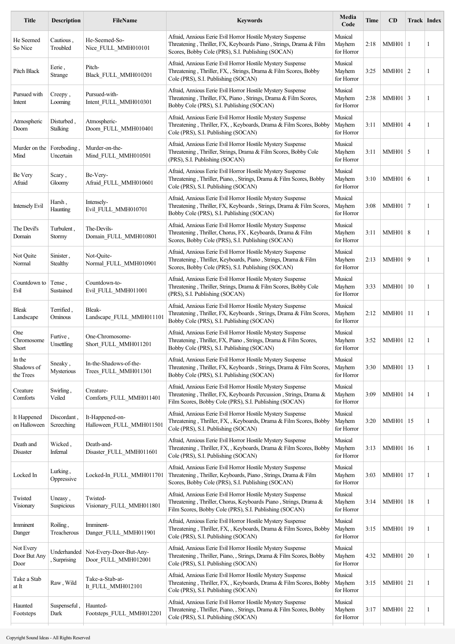| <b>Description</b>            | FileName                                       | <b>Keywords</b>                                                                                                                                                                           | Media<br>Code                   | Time | <b>CD</b> |                |                                                                                                                                                                                                                                                                                                          |
|-------------------------------|------------------------------------------------|-------------------------------------------------------------------------------------------------------------------------------------------------------------------------------------------|---------------------------------|------|-----------|----------------|----------------------------------------------------------------------------------------------------------------------------------------------------------------------------------------------------------------------------------------------------------------------------------------------------------|
| Cautious,<br>Troubled         | He-Seemed-So-<br>Nice FULL MMH010101           | Afraid, Anxious Eerie Evil Horror Hostile Mystery Suspense<br>Threatening, Thriller, FX, Keyboards Piano, Strings, Drama & Film<br>Scores, Bobby Cole (PRS), S.I. Publishing (SOCAN)      | Musical<br>Mayhem<br>for Horror | 2:18 |           |                | 1                                                                                                                                                                                                                                                                                                        |
| Eerie,<br>Strange             | Pitch-<br>Black FULL MMH010201                 | Afraid, Anxious Eerie Evil Horror Hostile Mystery Suspense<br>Threatening, Thriller, FX, Strings, Drama & Film Scores, Bobby<br>Cole (PRS), S.I. Publishing (SOCAN)                       | Musical<br>Mayhem<br>for Horror | 3:25 |           |                | $\mathbf{1}$                                                                                                                                                                                                                                                                                             |
| Creepy,<br>Looming            | Pursued-with-<br>Intent_FULL_MMH010301         | Afraid, Anxious Eerie Evil Horror Hostile Mystery Suspense<br>Threatening, Thriller, FX, Piano, Strings, Drama & Film Scores,<br>Bobby Cole (PRS), S.I. Publishing (SOCAN)                | Musical<br>Mayhem<br>for Horror | 2:38 |           |                | $\mathbf{1}$                                                                                                                                                                                                                                                                                             |
| Disturbed.<br><b>Stalking</b> | Atmospheric-<br>Doom FULL MMH010401            | Afraid, Anxious Eerie Evil Horror Hostile Mystery Suspense<br>Threatening, Thriller, FX, , Keyboards, Drama & Film Scores, Bobby<br>Cole (PRS), S.I. Publishing (SOCAN)                   | Musical<br>Mayhem<br>for Horror | 3:11 |           | $\overline{4}$ | $\mathbf{1}$                                                                                                                                                                                                                                                                                             |
| Foreboding.<br>Uncertain      | Murder-on-the-<br>Mind_FULL_MMH010501          | Afraid, Anxious Eerie Evil Horror Hostile Mystery Suspense<br>Threatening, Thriller, Strings, Drama & Film Scores, Bobby Cole<br>(PRS), S.I. Publishing (SOCAN)                           | Musical<br>Mayhem<br>for Horror | 3:11 |           |                | 1                                                                                                                                                                                                                                                                                                        |
| Scary,<br>Gloomy              | Be-Very-<br>Afraid FULL MMH010601              | Afraid, Anxious Eerie Evil Horror Hostile Mystery Suspense<br>Threatening, Thriller, Piano, Strings, Drama & Film Scores, Bobby<br>Cole (PRS), S.I. Publishing (SOCAN)                    | Musical<br>Mayhem<br>for Horror | 3:10 |           |                | 1                                                                                                                                                                                                                                                                                                        |
| Harsh,<br>Haunting            | Intensely-<br>Evil FULL MMH010701              | Afraid, Anxious Eerie Evil Horror Hostile Mystery Suspense<br>Threatening, Thriller, FX, Keyboards, Strings, Drama & Film Scores,<br>Bobby Cole (PRS), S.I. Publishing (SOCAN)            | Musical<br>Mayhem<br>for Horror | 3:08 |           |                | $\mathbf{1}$                                                                                                                                                                                                                                                                                             |
| Turbulent,<br>Stormy          | The-Devils-<br>Domain FULL MMH010801           | Afraid, Anxious Eerie Evil Horror Hostile Mystery Suspense<br>Threatening, Thriller, Chorus, FX, Keyboards, Drama & Film<br>Scores, Bobby Cole (PRS), S.I. Publishing (SOCAN)             | Musical<br>Mayhem<br>for Horror | 3:11 |           | 8              | $\mathbf{1}$                                                                                                                                                                                                                                                                                             |
| Sinister,<br>Stealthy         | Not-Ouite-<br>Normal FULL MMH010901            | Afraid, Anxious Eerie Evil Horror Hostile Mystery Suspense<br>Threatening, Thriller, Keyboards, Piano, Strings, Drama & Film<br>Scores, Bobby Cole (PRS), S.I. Publishing (SOCAN)         | Musical<br>Mayhem<br>for Horror | 2:13 |           | 9              | $\mathbf{1}$                                                                                                                                                                                                                                                                                             |
| Tense,<br>Sustained           | Countdown-to-<br>Evil FULL MMH011001           | Afraid, Anxious Eerie Evil Horror Hostile Mystery Suspense<br>Threatening, Thriller, Strings, Drama & Film Scores, Bobby Cole<br>(PRS), S.I. Publishing (SOCAN)                           | Musical<br>Mayhem<br>for Horror | 3:33 |           |                | 1                                                                                                                                                                                                                                                                                                        |
| Terrified,<br>Ominous         | Bleak-<br>Landscape FULL MMH011101             | Afraid, Anxious Eerie Evil Horror Hostile Mystery Suspense<br>Threatening, Thriller, FX, Keyboards, Strings, Drama & Film Scores,<br>Bobby Cole (PRS), S.I. Publishing (SOCAN)            | Musical<br>Mayhem<br>for Horror | 2:12 |           |                | $\mathbf{1}$                                                                                                                                                                                                                                                                                             |
| Furtive,<br>Unsettling        | One-Chromosome-<br>Short FULL MMH011201        | Afraid, Anxious Eerie Evil Horror Hostile Mystery Suspense<br>Threatening, Thriller, FX, Piano, Strings, Drama & Film Scores,<br>Bobby Cole (PRS), S.I. Publishing (SOCAN)                | Musical<br>Mayhem<br>for Horror | 3:52 |           | 12             | 1                                                                                                                                                                                                                                                                                                        |
| Sneaky,<br>Mysterious         | In-the-Shadows-of-the-<br>Trees FULL MMH011301 | Afraid, Anxious Eerie Evil Horror Hostile Mystery Suspense<br>Threatening, Thriller, FX, Keyboards, Strings, Drama & Film Scores.<br>Bobby Cole (PRS), S.I. Publishing (SOCAN)            | Musical<br>Mayhem<br>for Horror | 3:30 |           |                | 1                                                                                                                                                                                                                                                                                                        |
| Swirling,<br>Veiled           | Creature-<br>Comforts_FULL_MMH011401           | Afraid, Anxious Eerie Evil Horror Hostile Mystery Suspense<br>Threatening, Thriller, FX, Keyboards Percussion, Strings, Drama &<br>Film Scores, Bobby Cole (PRS), S.I. Publishing (SOCAN) | Musical<br>Mayhem<br>for Horror | 3:09 |           |                | 1                                                                                                                                                                                                                                                                                                        |
| Discordant,<br>Screeching     | It-Happened-on-<br>Halloween_FULL_MMH011501    | Afraid, Anxious Eerie Evil Horror Hostile Mystery Suspense<br>Threatening, Thriller, FX, , Keyboards, Drama & Film Scores, Bobby<br>Cole (PRS), S.I. Publishing (SOCAN)                   | Musical<br>Mayhem<br>for Horror | 3:20 |           | 15             | 1                                                                                                                                                                                                                                                                                                        |
| Wicked,<br>Infernal           | Death-and-<br>Disaster_FULL_MMH011601          | Afraid, Anxious Eerie Evil Horror Hostile Mystery Suspense<br>Threatening, Thriller, FX, , Keyboards, Drama & Film Scores, Bobby<br>Cole (PRS), S.I. Publishing (SOCAN)                   | Musical<br>Mayhem<br>for Horror | 3:13 |           |                | 1                                                                                                                                                                                                                                                                                                        |
| Lurking,<br>Oppressive        | Locked-In FULL MMH011701                       | Afraid, Anxious Eerie Evil Horror Hostile Mystery Suspense<br>Threatening, Thriller, Keyboards, Piano, Strings, Drama & Film<br>Scores, Bobby Cole (PRS), S.I. Publishing (SOCAN)         | Musical<br>Mayhem<br>for Horror | 3:03 |           |                | 1                                                                                                                                                                                                                                                                                                        |
| Uneasy,<br>Suspicious         | Twisted-<br>Visionary_FULL_MMH011801           | Afraid, Anxious Eerie Evil Horror Hostile Mystery Suspense<br>Threatening, Thriller, Chorus, Keyboards Piano, Strings, Drama &<br>Film Scores, Bobby Cole (PRS), S.I. Publishing (SOCAN)  | Musical<br>Mayhem<br>for Horror | 3:14 |           |                | 1                                                                                                                                                                                                                                                                                                        |
| Roiling,<br>Treacherous       | Imminent-<br>Danger FULL MMH011901             | Afraid, Anxious Eerie Evil Horror Hostile Mystery Suspense<br>Threatening, Thriller, FX, , Keyboards, Drama & Film Scores, Bobby<br>Cole (PRS), S.I. Publishing (SOCAN)                   | Musical<br>Mayhem<br>for Horror | 3:15 |           |                | 1                                                                                                                                                                                                                                                                                                        |
| Underhanded<br>Surprising     | Not-Every-Door-But-Any-<br>Door FULL MMH012001 | Afraid, Anxious Eerie Evil Horror Hostile Mystery Suspense<br>Threatening, Thriller, Piano, , Strings, Drama & Film Scores, Bobby<br>Cole (PRS), S.I. Publishing (SOCAN)                  | Musical<br>Mayhem<br>for Horror | 4:32 |           |                | 1                                                                                                                                                                                                                                                                                                        |
| Raw, Wild                     | Take-a-Stab-at-<br>It_FULL_MMH012101           | Afraid, Anxious Eerie Evil Horror Hostile Mystery Suspense<br>Threatening, Thriller, FX, , Keyboards, Drama & Film Scores, Bobby<br>Cole (PRS), S.I. Publishing (SOCAN)                   | Musical<br>Mayhem<br>for Horror | 3:15 |           |                | -1                                                                                                                                                                                                                                                                                                       |
| Suspenseful,<br>Dark          | Haunted-<br>Footsteps FULL MMH012201           | Afraid, Anxious Eerie Evil Horror Hostile Mystery Suspense<br>Threatening, Thriller, Piano, , Strings, Drama & Film Scores, Bobby<br>Cole (PRS), S.I. Publishing (SOCAN)                  | Musical<br>Mayhem<br>for Horror | 3:17 |           |                | 1                                                                                                                                                                                                                                                                                                        |
|                               |                                                |                                                                                                                                                                                           |                                 |      |           |                | <b>Track Index</b><br>$MMH01$   1<br>MMH01   2<br>MMH01   3<br>MMH01<br>MMH01   5<br>MMH01 6<br>MMH01   7<br>MMH01<br>MMH01<br>MMH01   10<br>$MMH01$  11<br>MMH01<br>MMH01   13<br>MMH01   14<br>MMH01<br>MMH01   16<br>MMH01   17<br>MMH01   18<br>MMH01   19<br>MMH01   20<br>MMH01   21<br>MMH01   22 |